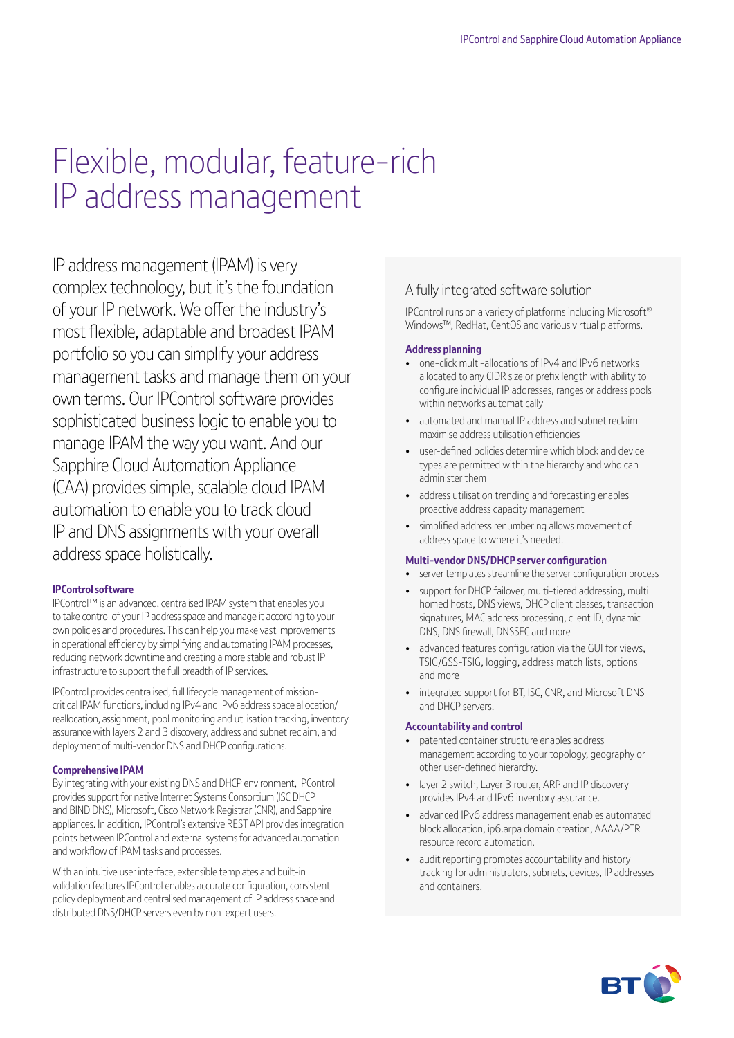# Flexible, modular, feature-rich IP address management

IP address management (IPAM) is very complex technology, but it's the foundation of your IP network. We offer the industry's most flexible, adaptable and broadest IPAM portfolio so you can simplify your address management tasks and manage them on your own terms. Our IPControl software provides sophisticated business logic to enable you to manage IPAM the way you want. And our Sapphire Cloud Automation Appliance (CAA) provides simple, scalable cloud IPAM automation to enable you to track cloud IP and DNS assignments with your overall address space holistically.

#### **IPControl software**

IPControl™ is an advanced, centralised IPAM system that enables you to take control of your IP address space and manage it according to your own policies and procedures. This can help you make vast improvements in operational efficiency by simplifying and automating IPAM processes, reducing network downtime and creating a more stable and robust IP infrastructure to support the full breadth of IP services.

IPControl provides centralised, full lifecycle management of missioncritical IPAM functions, including IPv4 and IPv6 address space allocation/ reallocation, assignment, pool monitoring and utilisation tracking, inventory assurance with layers 2 and 3 discovery, address and subnet reclaim, and deployment of multi-vendor DNS and DHCP configurations.

#### **Comprehensive IPAM**

By integrating with your existing DNS and DHCP environment, IPControl provides support for native Internet Systems Consortium (ISC DHCP and BIND DNS), Microsoft, Cisco Network Registrar (CNR), and Sapphire appliances. In addition, IPControl's extensive REST API provides integration points between IPControl and external systems for advanced automation and workflow of IPAM tasks and processes.

With an intuitive user interface, extensible templates and built-in validation features IPControl enables accurate configuration, consistent policy deployment and centralised management of IP address space and distributed DNS/DHCP servers even by non-expert users.

### A fully integrated software solution

IPControl runs on a variety of platforms including Microsoft® Windows™, RedHat, CentOS and various virtual platforms.

#### **Address planning**

- one-click multi-allocations of IPv4 and IPv6 networks allocated to any CIDR size or prefix length with ability to configure individual IP addresses, ranges or address pools within networks automatically
- automated and manual IP address and subnet reclaim maximise address utilisation efficiencies
- user-defined policies determine which block and device types are permitted within the hierarchy and who can administer them
- address utilisation trending and forecasting enables proactive address capacity management
- simplified address renumbering allows movement of address space to where it's needed.

#### **Multi-vendor DNS/DHCP server configuration**

- server templates streamline the server configuration process
- support for DHCP failover, multi-tiered addressing, multi homed hosts, DNS views, DHCP client classes, transaction signatures, MAC address processing, client ID, dynamic DNS, DNS firewall, DNSSEC and more
- advanced features configuration via the GUI for views, TSIG/GSS-TSIG, logging, address match lists, options and more
- integrated support for BT, ISC, CNR, and Microsoft DNS and DHCP servers.

#### **Accountability and control**

- patented container structure enables address management according to your topology, geography or other user-defined hierarchy.
- layer 2 switch, Layer 3 router, ARP and IP discovery provides IPv4 and IPv6 inventory assurance.
- advanced IPv6 address management enables automated block allocation, ip6.arpa domain creation, AAAA/PTR resource record automation.
- audit reporting promotes accountability and history tracking for administrators, subnets, devices, IP addresses and containers.